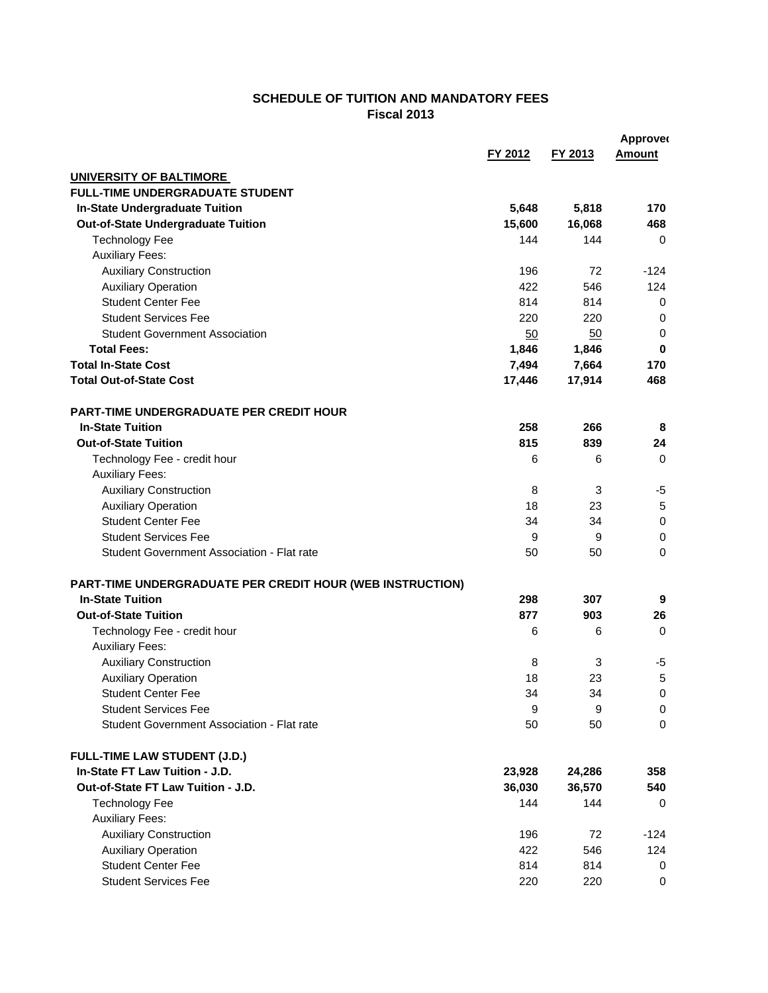## **SCHEDULE OF TUITION AND MANDATORY FEES Fiscal 2013**

|                                                           |         |         | <b>Approved</b>       |
|-----------------------------------------------------------|---------|---------|-----------------------|
|                                                           | FY 2012 | FY 2013 | <b>Amount</b>         |
| UNIVERSITY OF BALTIMORE                                   |         |         |                       |
| <b>FULL-TIME UNDERGRADUATE STUDENT</b>                    |         |         |                       |
| <b>In-State Undergraduate Tuition</b>                     | 5,648   | 5,818   | 170                   |
| Out-of-State Undergraduate Tuition                        | 15,600  | 16,068  | 468                   |
| <b>Technology Fee</b>                                     | 144     | 144     | 0                     |
| <b>Auxiliary Fees:</b>                                    |         |         |                       |
| <b>Auxiliary Construction</b>                             | 196     | 72      | $-124$                |
| <b>Auxiliary Operation</b>                                | 422     | 546     | 124                   |
| <b>Student Center Fee</b>                                 | 814     | 814     | 0                     |
| <b>Student Services Fee</b>                               | 220     | 220     | 0                     |
| <b>Student Government Association</b>                     | 50      | 50      | 0                     |
| <b>Total Fees:</b>                                        | 1,846   | 1,846   | 0                     |
| <b>Total In-State Cost</b>                                | 7,494   | 7,664   | 170                   |
| <b>Total Out-of-State Cost</b>                            | 17,446  | 17,914  | 468                   |
|                                                           |         |         |                       |
| <b>PART-TIME UNDERGRADUATE PER CREDIT HOUR</b>            |         |         |                       |
| <b>In-State Tuition</b>                                   | 258     | 266     | 8                     |
| <b>Out-of-State Tuition</b>                               | 815     | 839     | 24                    |
| Technology Fee - credit hour                              | 6       | 6       | $\Omega$              |
| <b>Auxiliary Fees:</b>                                    |         |         |                       |
| <b>Auxiliary Construction</b>                             | 8       | 3       | -5                    |
| <b>Auxiliary Operation</b>                                | 18      | 23      | 5                     |
| <b>Student Center Fee</b>                                 | 34      | 34      | $\pmb{0}$             |
| <b>Student Services Fee</b>                               | 9       |         |                       |
| Student Government Association - Flat rate                |         | 9<br>50 | $\pmb{0}$<br>$\Omega$ |
|                                                           | 50      |         |                       |
| PART-TIME UNDERGRADUATE PER CREDIT HOUR (WEB INSTRUCTION) |         |         |                       |
| <b>In-State Tuition</b>                                   | 298     | 307     | 9                     |
| <b>Out-of-State Tuition</b>                               | 877     | 903     | 26                    |
| Technology Fee - credit hour                              | 6       | 6       | 0                     |
| <b>Auxiliary Fees:</b>                                    |         |         |                       |
| <b>Auxiliary Construction</b>                             | 8       | 3       | -5                    |
| <b>Auxiliary Operation</b>                                | 18      | 23      | 5                     |
| <b>Student Center Fee</b>                                 | 34      | 34      | 0                     |
| <b>Student Services Fee</b>                               | 9       | 9       | 0                     |
| Student Government Association - Flat rate                | 50      | 50      | $\mathbf 0$           |
|                                                           |         |         |                       |
| <b>FULL-TIME LAW STUDENT (J.D.)</b>                       |         |         |                       |
| In-State FT Law Tuition - J.D.                            | 23,928  | 24,286  | 358                   |
| Out-of-State FT Law Tuition - J.D.                        | 36,030  | 36,570  | 540                   |
| <b>Technology Fee</b>                                     | 144     | 144     | 0                     |
| <b>Auxiliary Fees:</b>                                    |         |         |                       |
| <b>Auxiliary Construction</b>                             | 196     | 72      | $-124$                |
| <b>Auxiliary Operation</b>                                | 422     | 546     | 124                   |
| <b>Student Center Fee</b>                                 | 814     | 814     | 0                     |
| <b>Student Services Fee</b>                               | 220     | 220     | 0                     |
|                                                           |         |         |                       |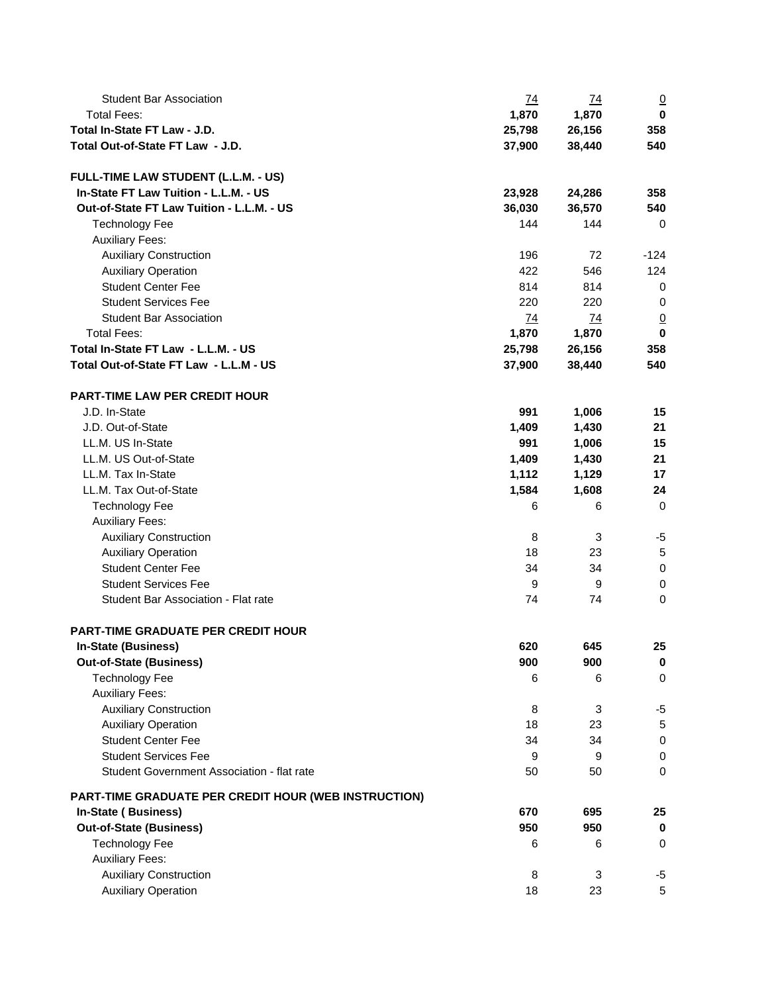| <b>Student Bar Association</b>                       | <u>74</u> | <u>74</u> | $\overline{0}$ |
|------------------------------------------------------|-----------|-----------|----------------|
| <b>Total Fees:</b>                                   | 1,870     | 1,870     | 0              |
| Total In-State FT Law - J.D.                         | 25,798    | 26,156    | 358            |
| Total Out-of-State FT Law - J.D.                     | 37,900    | 38,440    | 540            |
| FULL-TIME LAW STUDENT (L.L.M. - US)                  |           |           |                |
| In-State FT Law Tuition - L.L.M. - US                | 23,928    | 24,286    | 358            |
| Out-of-State FT Law Tuition - L.L.M. - US            | 36,030    | 36,570    | 540            |
| <b>Technology Fee</b>                                | 144       | 144       | 0              |
| <b>Auxiliary Fees:</b>                               |           |           |                |
| <b>Auxiliary Construction</b>                        | 196       | 72        | $-124$         |
| <b>Auxiliary Operation</b>                           | 422       | 546       | 124            |
| <b>Student Center Fee</b>                            | 814       | 814       | 0              |
| <b>Student Services Fee</b>                          | 220       | 220       | 0              |
| <b>Student Bar Association</b>                       | 74        | 74        | $\overline{0}$ |
| <b>Total Fees:</b>                                   | 1,870     | 1,870     | $\mathbf 0$    |
| Total In-State FT Law - L.L.M. - US                  | 25,798    | 26,156    | 358            |
| Total Out-of-State FT Law - L.L.M - US               | 37,900    | 38,440    | 540            |
| <b>PART-TIME LAW PER CREDIT HOUR</b>                 |           |           |                |
| J.D. In-State                                        | 991       | 1,006     | 15             |
| J.D. Out-of-State                                    | 1,409     | 1,430     | 21             |
| LL.M. US In-State                                    | 991       | 1,006     | 15             |
| LL.M. US Out-of-State                                | 1,409     | 1,430     | 21             |
| LL.M. Tax In-State                                   | 1,112     | 1,129     | 17             |
| LL.M. Tax Out-of-State                               | 1,584     | 1,608     | 24             |
| <b>Technology Fee</b>                                | 6         | 6         | $\mathbf 0$    |
| <b>Auxiliary Fees:</b>                               |           |           |                |
| <b>Auxiliary Construction</b>                        | 8         | 3         | -5             |
| <b>Auxiliary Operation</b>                           | 18        | 23        | $\sqrt{5}$     |
| <b>Student Center Fee</b>                            | 34        | 34        | $\mathbf 0$    |
| <b>Student Services Fee</b>                          | 9         | 9         | $\mathbf 0$    |
| Student Bar Association - Flat rate                  | 74        | 74        | $\mathbf 0$    |
| PART-TIME GRADUATE PER CREDIT HOUR                   |           |           |                |
| <b>In-State (Business)</b>                           | 620       | 645       | 25             |
| <b>Out-of-State (Business)</b>                       | 900       | 900       | $\bf{0}$       |
| <b>Technology Fee</b>                                | 6         | 6         | $\mathbf 0$    |
| <b>Auxiliary Fees:</b>                               |           |           |                |
| <b>Auxiliary Construction</b>                        | 8         | 3         | $-5$           |
| <b>Auxiliary Operation</b>                           | 18        | 23        | $\,$ 5 $\,$    |
| <b>Student Center Fee</b>                            | 34        | 34        | $\pmb{0}$      |
| <b>Student Services Fee</b>                          | 9         | 9         | $\pmb{0}$      |
| Student Government Association - flat rate           | 50        | 50        | $\mathbf 0$    |
| PART-TIME GRADUATE PER CREDIT HOUR (WEB INSTRUCTION) |           |           |                |
| <b>In-State (Business)</b>                           | 670       | 695       | 25             |
| <b>Out-of-State (Business)</b>                       | 950       | 950       | $\mathbf 0$    |
| <b>Technology Fee</b><br><b>Auxiliary Fees:</b>      | 6         | 6         | $\mathbf 0$    |
| <b>Auxiliary Construction</b>                        | 8         | 3         | $-5$           |
| <b>Auxiliary Operation</b>                           | 18        | 23        | 5              |
|                                                      |           |           |                |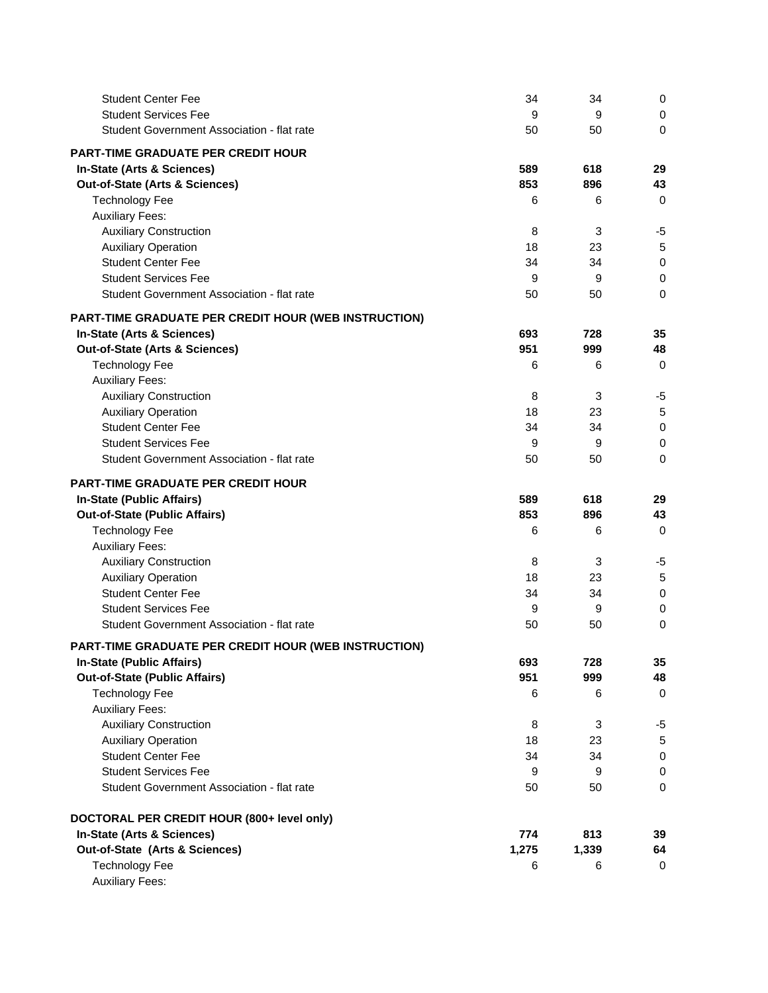| <b>Student Center Fee</b>                            | 34    | 34    | 0           |
|------------------------------------------------------|-------|-------|-------------|
| <b>Student Services Fee</b>                          | 9     | 9     | 0           |
| Student Government Association - flat rate           | 50    | 50    | 0           |
| <b>PART-TIME GRADUATE PER CREDIT HOUR</b>            |       |       |             |
| In-State (Arts & Sciences)                           | 589   | 618   | 29          |
| Out-of-State (Arts & Sciences)                       | 853   | 896   | 43          |
| <b>Technology Fee</b>                                | 6     | 6     | $\mathbf 0$ |
| <b>Auxiliary Fees:</b>                               |       |       |             |
| <b>Auxiliary Construction</b>                        | 8     | 3     | -5          |
| <b>Auxiliary Operation</b>                           | 18    | 23    | 5           |
| <b>Student Center Fee</b>                            | 34    | 34    | $\mathbf 0$ |
| <b>Student Services Fee</b>                          | 9     | 9     | $\pmb{0}$   |
| Student Government Association - flat rate           | 50    | 50    | $\mathbf 0$ |
| PART-TIME GRADUATE PER CREDIT HOUR (WEB INSTRUCTION) |       |       |             |
| In-State (Arts & Sciences)                           | 693   | 728   | 35          |
| Out-of-State (Arts & Sciences)                       | 951   | 999   | 48          |
| <b>Technology Fee</b>                                | 6     | 6     | $\mathbf 0$ |
| <b>Auxiliary Fees:</b>                               |       |       |             |
| <b>Auxiliary Construction</b>                        | 8     | 3     | -5          |
| <b>Auxiliary Operation</b>                           | 18    | 23    | 5           |
| <b>Student Center Fee</b>                            | 34    | 34    | $\mathbf 0$ |
| <b>Student Services Fee</b>                          | 9     | 9     | $\mathbf 0$ |
| Student Government Association - flat rate           | 50    | 50    | $\mathbf 0$ |
| <b>PART-TIME GRADUATE PER CREDIT HOUR</b>            |       |       |             |
| In-State (Public Affairs)                            | 589   | 618   | 29          |
| <b>Out-of-State (Public Affairs)</b>                 | 853   | 896   | 43          |
| <b>Technology Fee</b>                                | 6     | 6     | $\mathbf 0$ |
| <b>Auxiliary Fees:</b>                               |       |       |             |
| <b>Auxiliary Construction</b>                        | 8     | 3     | $-5$        |
| <b>Auxiliary Operation</b>                           | 18    | 23    | 5           |
| <b>Student Center Fee</b>                            | 34    | 34    | $\mathbf 0$ |
| <b>Student Services Fee</b>                          | 9     | 9     | $\mathbf 0$ |
| Student Government Association - flat rate           | 50    | 50    | $\mathbf 0$ |
| PART-TIME GRADUATE PER CREDIT HOUR (WEB INSTRUCTION) |       |       |             |
| In-State (Public Affairs)                            | 693   | 728   | 35          |
| <b>Out-of-State (Public Affairs)</b>                 | 951   | 999   | 48          |
| <b>Technology Fee</b>                                | 6     | 6     | 0           |
| <b>Auxiliary Fees:</b>                               |       |       |             |
| <b>Auxiliary Construction</b>                        | 8     | 3     | $-5$        |
| <b>Auxiliary Operation</b>                           | 18    | 23    | $\,$ 5 $\,$ |
| <b>Student Center Fee</b>                            | 34    | 34    | $\pmb{0}$   |
| <b>Student Services Fee</b>                          | 9     | 9     | $\mathbf 0$ |
| Student Government Association - flat rate           | 50    | 50    | $\mathbf 0$ |
| DOCTORAL PER CREDIT HOUR (800+ level only)           |       |       |             |
| In-State (Arts & Sciences)                           | 774   | 813   | 39          |
| Out-of-State (Arts & Sciences)                       | 1,275 | 1,339 | 64          |
| <b>Technology Fee</b>                                | 6     | 6     | 0           |
| <b>Auxiliary Fees:</b>                               |       |       |             |
|                                                      |       |       |             |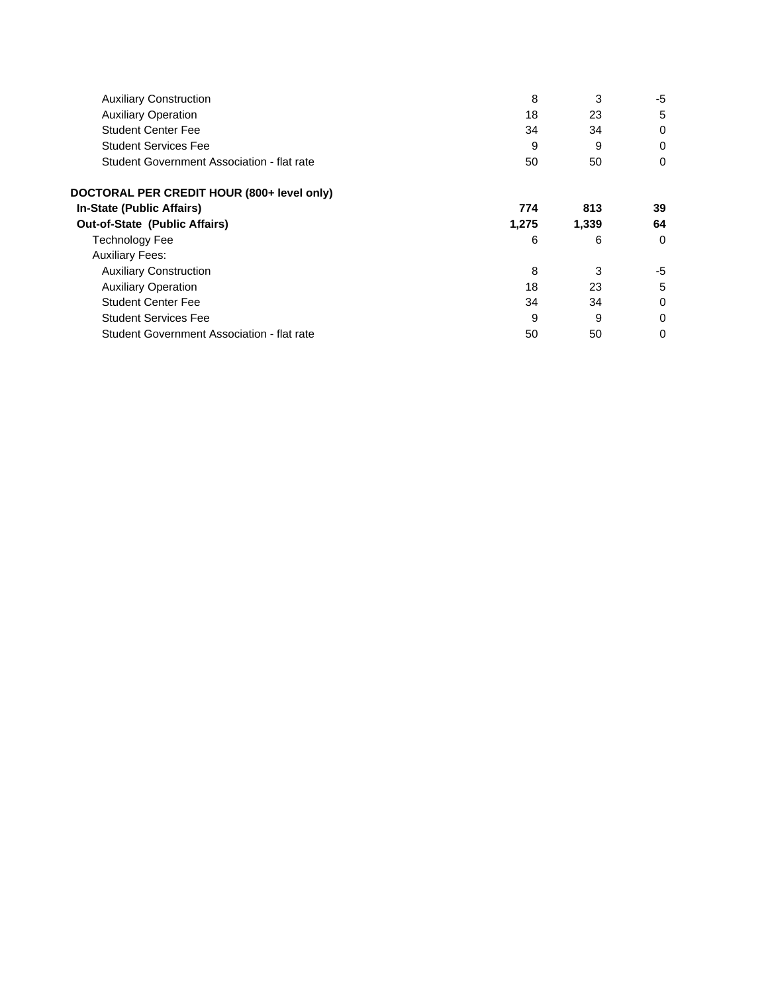| <b>Auxiliary Construction</b>              | 8     | 3     | -5       |
|--------------------------------------------|-------|-------|----------|
| <b>Auxiliary Operation</b>                 | 18    | 23    | 5        |
| <b>Student Center Fee</b>                  | 34    | 34    | 0        |
| <b>Student Services Fee</b>                | 9     | 9     | 0        |
| Student Government Association - flat rate | 50    | 50    | 0        |
| DOCTORAL PER CREDIT HOUR (800+ level only) |       |       |          |
| <b>In-State (Public Affairs)</b>           | 774   | 813   | 39       |
| <b>Out-of-State (Public Affairs)</b>       | 1,275 | 1,339 | 64       |
| Technology Fee                             | 6     | 6     | $\Omega$ |
| <b>Auxiliary Fees:</b>                     |       |       |          |
| <b>Auxiliary Construction</b>              | 8     | 3     | -5       |
| <b>Auxiliary Operation</b>                 | 18    | 23    | 5        |
| <b>Student Center Fee</b>                  | 34    | 34    | 0        |
| <b>Student Services Fee</b>                | 9     | 9     | 0        |
| Student Government Association - flat rate | 50    | 50    | 0        |
|                                            |       |       |          |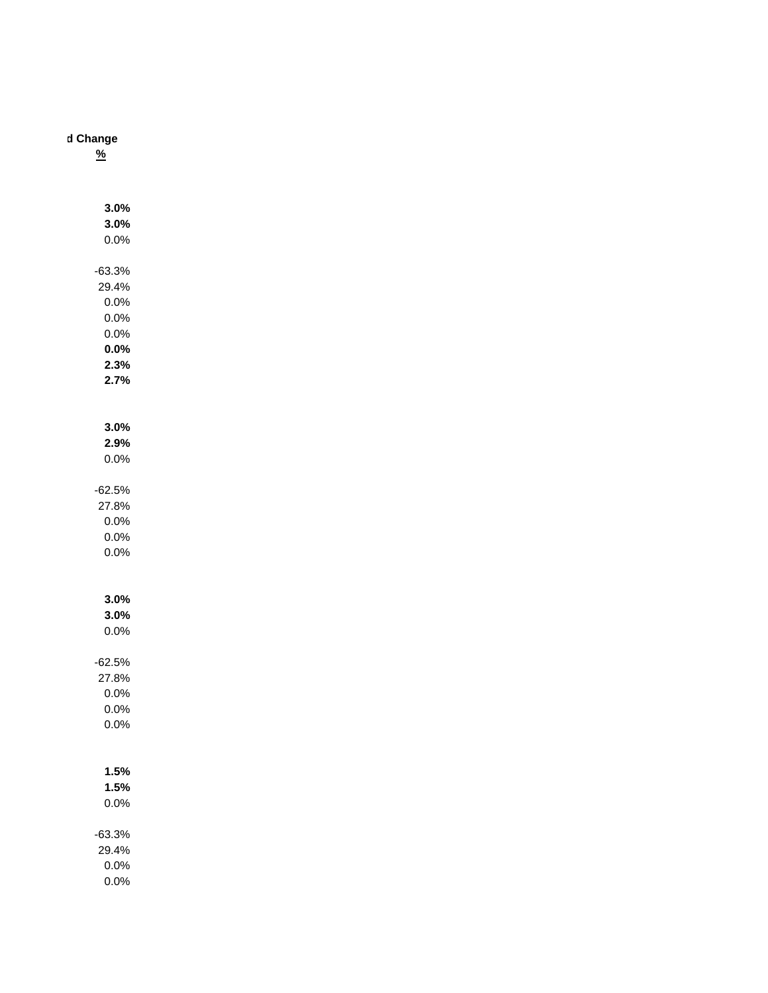## **d Change**

**%**

| 3.0%<br>3.0%<br>0.0%                                              |  |
|-------------------------------------------------------------------|--|
| $-63.3%$<br>29.4%<br>0.0%<br>0.0%<br>0.0%<br>0.0%<br>2.3%<br>2.7% |  |
| 3.0%<br>2.9%<br>0.0%                                              |  |
| $-62.5%$<br>27.8%<br>0.0%<br>0.0%<br>0.0%                         |  |
| 3.0%<br>3.0%<br>0.0%                                              |  |
| $-62.5%$<br>27.8%<br>0.0%<br>0.0%<br>$0.0\%$                      |  |
| 1.5%<br>1.5%<br>$0.0\%$                                           |  |
| $-63.3%$<br>29.4%<br>0.0%                                         |  |

0.0%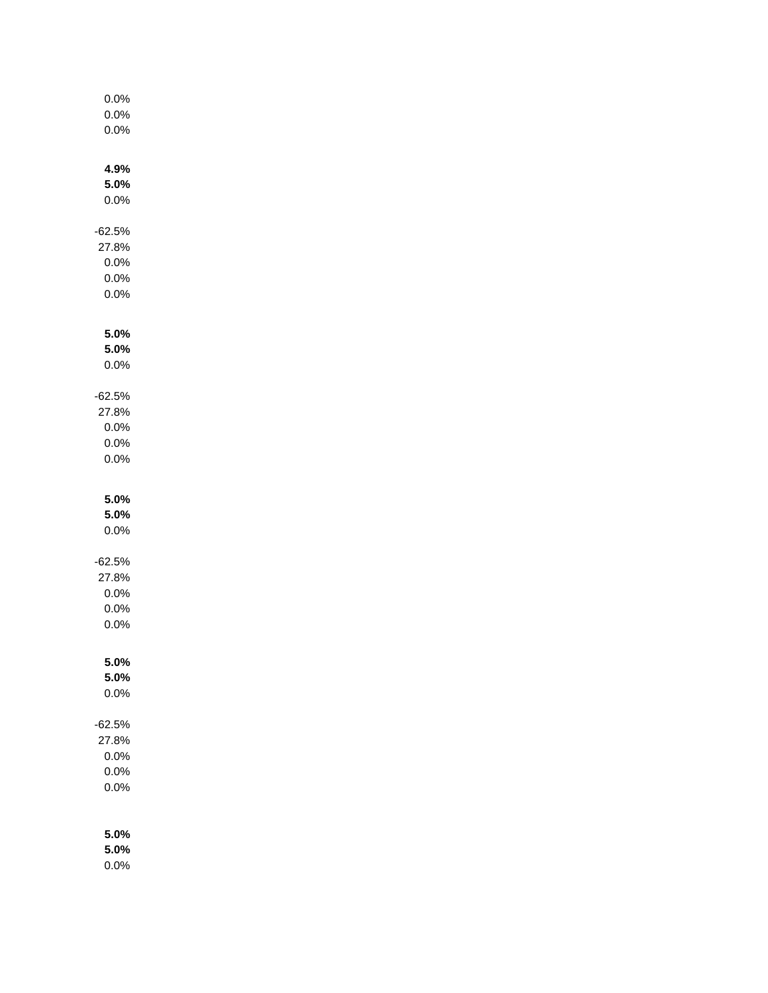| 0.0%<br>0.0%<br>0.0%                            |  |
|-------------------------------------------------|--|
| 4.9%<br>5.0%<br>0.0%                            |  |
| $-62.5%$<br>27.8%<br>0.0%<br>0.0%<br>0.0%       |  |
| 5.0%<br>5.0%<br>0.0%                            |  |
| $-62.5%$<br>27.8%<br>0.0%<br>0.0%<br>0.0%       |  |
| 5.0%<br>5.0%<br>0.0%                            |  |
| $-62.5%$<br>27.8%<br>0.0%<br>0.0%<br>$0.0\%$    |  |
| 5.0%<br>5.0%<br>0.0%                            |  |
| $-62.5%$<br>27.8%<br>0.0%<br>$0.0\%$<br>$0.0\%$ |  |
| 5.0%<br>5.0%                                    |  |

0.0%